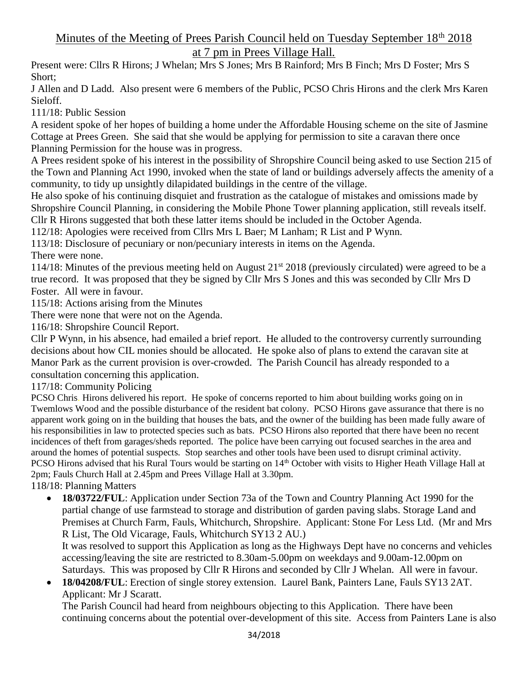## Minutes of the Meeting of Prees Parish Council held on Tuesday September 18<sup>th</sup> 2018 at 7 pm in Prees Village Hall.

Present were: Cllrs R Hirons; J Whelan; Mrs S Jones; Mrs B Rainford; Mrs B Finch; Mrs D Foster; Mrs S Short;

J Allen and D Ladd. Also present were 6 members of the Public, PCSO Chris Hirons and the clerk Mrs Karen Sieloff.

111/18: Public Session

A resident spoke of her hopes of building a home under the Affordable Housing scheme on the site of Jasmine Cottage at Prees Green. She said that she would be applying for permission to site a caravan there once Planning Permission for the house was in progress.

A Prees resident spoke of his interest in the possibility of Shropshire Council being asked to use Section 215 of the Town and Planning Act 1990, invoked when the state of land or buildings adversely affects the amenity of a community, to tidy up unsightly dilapidated buildings in the centre of the village.

He also spoke of his continuing disquiet and frustration as the catalogue of mistakes and omissions made by Shropshire Council Planning, in considering the Mobile Phone Tower planning application, still reveals itself. Cllr R Hirons suggested that both these latter items should be included in the October Agenda.

112/18: Apologies were received from Cllrs Mrs L Baer; M Lanham; R List and P Wynn.

113/18: Disclosure of pecuniary or non/pecuniary interests in items on the Agenda.

There were none.

114/18: Minutes of the previous meeting held on August  $21^{st}$  2018 (previously circulated) were agreed to be a true record. It was proposed that they be signed by Cllr Mrs S Jones and this was seconded by Cllr Mrs D Foster. All were in favour.

115/18: Actions arising from the Minutes

There were none that were not on the Agenda.

116/18: Shropshire Council Report.

Cllr P Wynn, in his absence, had emailed a brief report. He alluded to the controversy currently surrounding decisions about how CIL monies should be allocated. He spoke also of plans to extend the caravan site at Manor Park as the current provision is over-crowded. The Parish Council has already responded to a consultation concerning this application.

117/18: Community Policing

PCSO Chris. Hirons delivered his report. He spoke of concerns reported to him about building works going on in Twemlows Wood and the possible disturbance of the resident bat colony. PCSO Hirons gave assurance that there is no apparent work going on in the building that houses the bats, and the owner of the building has been made fully aware of his responsibilities in law to protected species such as bats. PCSO Hirons also reported that there have been no recent incidences of theft from garages/sheds reported. The police have been carrying out focused searches in the area and around the homes of potential suspects. Stop searches and other tools have been used to disrupt criminal activity. PCSO Hirons advised that his Rural Tours would be starting on 14<sup>th</sup> October with visits to Higher Heath Village Hall at 2pm; Fauls Church Hall at 2.45pm and Prees Village Hall at 3.30pm.

118/18: Planning Matters

• **18/03722/FUL**: Application under Section 73a of the Town and Country Planning Act 1990 for the partial change of use farmstead to storage and distribution of garden paving slabs. Storage Land and Premises at Church Farm, Fauls, Whitchurch, Shropshire. Applicant: Stone For Less Ltd. (Mr and Mrs R List, The Old Vicarage, Fauls, Whitchurch SY13 2 AU.)

It was resolved to support this Application as long as the Highways Dept have no concerns and vehicles accessing/leaving the site are restricted to 8.30am-5.00pm on weekdays and 9.00am-12.00pm on Saturdays. This was proposed by Cllr R Hirons and seconded by Cllr J Whelan. All were in favour.

• **18/04208/FUL**: Erection of single storey extension. Laurel Bank, Painters Lane, Fauls SY13 2AT. Applicant: Mr J Scaratt.

The Parish Council had heard from neighbours objecting to this Application. There have been continuing concerns about the potential over-development of this site. Access from Painters Lane is also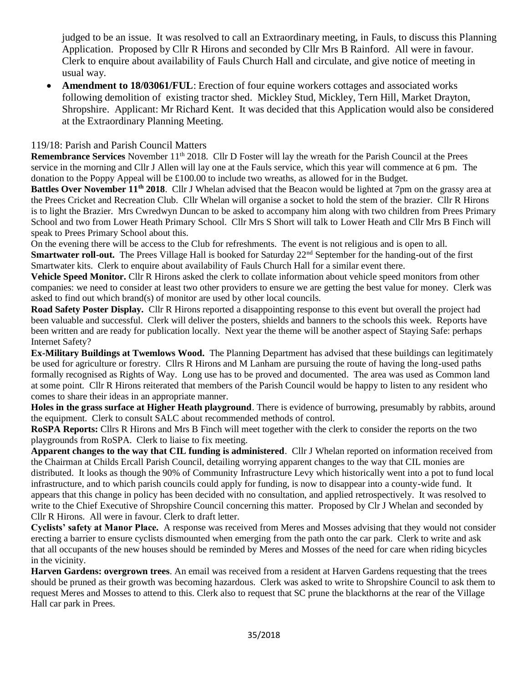judged to be an issue. It was resolved to call an Extraordinary meeting, in Fauls, to discuss this Planning Application. Proposed by Cllr R Hirons and seconded by Cllr Mrs B Rainford. All were in favour. Clerk to enquire about availability of Fauls Church Hall and circulate, and give notice of meeting in usual way.

• **Amendment to 18/03061/FUL**: Erection of four equine workers cottages and associated works following demolition of existing tractor shed. Mickley Stud, Mickley, Tern Hill, Market Drayton, Shropshire. Applicant: Mr Richard Kent. It was decided that this Application would also be considered at the Extraordinary Planning Meeting.

## 119/18: Parish and Parish Council Matters

**Remembrance Services** November 11<sup>th</sup> 2018. Cllr D Foster will lay the wreath for the Parish Council at the Prees service in the morning and Cllr J Allen will lay one at the Fauls service, which this year will commence at 6 pm. The donation to the Poppy Appeal will be £100.00 to include two wreaths, as allowed for in the Budget.

**Battles Over November 11th 2018**. Cllr J Whelan advised that the Beacon would be lighted at 7pm on the grassy area at the Prees Cricket and Recreation Club. Cllr Whelan will organise a socket to hold the stem of the brazier. Cllr R Hirons is to light the Brazier. Mrs Cwredwyn Duncan to be asked to accompany him along with two children from Prees Primary School and two from Lower Heath Primary School. Cllr Mrs S Short will talk to Lower Heath and Cllr Mrs B Finch will speak to Prees Primary School about this.

On the evening there will be access to the Club for refreshments. The event is not religious and is open to all. **Smartwater roll-out.** The Prees Village Hall is booked for Saturday 22<sup>nd</sup> September for the handing-out of the first Smartwater kits. Clerk to enquire about availability of Fauls Church Hall for a similar event there.

**Vehicle Speed Monitor.** Cllr R Hirons asked the clerk to collate information about vehicle speed monitors from other companies: we need to consider at least two other providers to ensure we are getting the best value for money. Clerk was asked to find out which brand(s) of monitor are used by other local councils.

**Road Safety Poster Display.** Cllr R Hirons reported a disappointing response to this event but overall the project had been valuable and successful. Clerk will deliver the posters, shields and banners to the schools this week. Reports have been written and are ready for publication locally. Next year the theme will be another aspect of Staying Safe: perhaps Internet Safety?

**Ex-Military Buildings at Twemlows Wood.** The Planning Department has advised that these buildings can legitimately be used for agriculture or forestry. Cllrs R Hirons and M Lanham are pursuing the route of having the long-used paths formally recognised as Rights of Way. Long use has to be proved and documented. The area was used as Common land at some point. Cllr R Hirons reiterated that members of the Parish Council would be happy to listen to any resident who comes to share their ideas in an appropriate manner.

**Holes in the grass surface at Higher Heath playground**. There is evidence of burrowing, presumably by rabbits, around the equipment. Clerk to consult SALC about recommended methods of control.

**RoSPA Reports:** Cllrs R Hirons and Mrs B Finch will meet together with the clerk to consider the reports on the two playgrounds from RoSPA. Clerk to liaise to fix meeting.

**Apparent changes to the way that CIL funding is administered**. Cllr J Whelan reported on information received from the Chairman at Childs Ercall Parish Council, detailing worrying apparent changes to the way that CIL monies are distributed. It looks as though the 90% of Community Infrastructure Levy which historically went into a pot to fund local infrastructure, and to which parish councils could apply for funding, is now to disappear into a county-wide fund. It appears that this change in policy has been decided with no consultation, and applied retrospectively. It was resolved to write to the Chief Executive of Shropshire Council concerning this matter. Proposed by Clr J Whelan and seconded by Cllr R Hirons. All were in favour. Clerk to draft letter.

**Cyclists' safety at Manor Place.** A response was received from Meres and Mosses advising that they would not consider erecting a barrier to ensure cyclists dismounted when emerging from the path onto the car park. Clerk to write and ask that all occupants of the new houses should be reminded by Meres and Mosses of the need for care when riding bicycles in the vicinity.

**Harven Gardens: overgrown trees**. An email was received from a resident at Harven Gardens requesting that the trees should be pruned as their growth was becoming hazardous. Clerk was asked to write to Shropshire Council to ask them to request Meres and Mosses to attend to this. Clerk also to request that SC prune the blackthorns at the rear of the Village Hall car park in Prees.